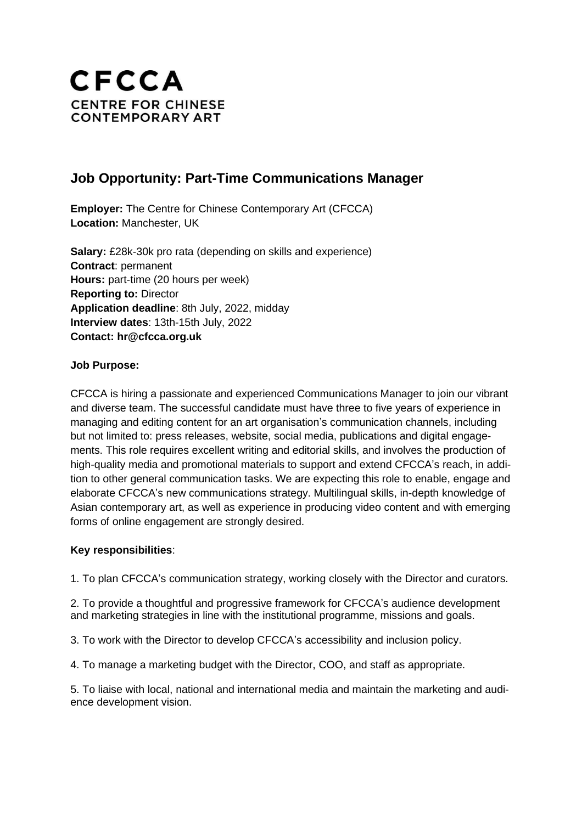

# **Job Opportunity: Part-Time Communications Manager**

**Employer:** The Centre for Chinese Contemporary Art (CFCCA) **Location:** Manchester, UK

**Salary:** £28k-30k pro rata (depending on skills and experience) **Contract**: permanent **Hours:** part-time (20 hours per week) **Reporting to:** Director **Application deadline**: 8th July, 2022, midday **Interview dates**: 13th-15th July, 2022 **Contact: hr@cfcca.org.uk**

## **Job Purpose:**

CFCCA is hiring a passionate and experienced Communications Manager to join our vibrant and diverse team. The successful candidate must have three to five years of experience in managing and editing content for an art organisation's communication channels, including but not limited to: press releases, website, social media, publications and digital engagements. This role requires excellent writing and editorial skills, and involves the production of high-quality media and promotional materials to support and extend CFCCA's reach, in addition to other general communication tasks. We are expecting this role to enable, engage and elaborate CFCCA's new communications strategy. Multilingual skills, in-depth knowledge of Asian contemporary art, as well as experience in producing video content and with emerging forms of online engagement are strongly desired.

## **Key responsibilities**:

1. To plan CFCCA's communication strategy, working closely with the Director and curators.

2. To provide a thoughtful and progressive framework for CFCCA's audience development and marketing strategies in line with the institutional programme, missions and goals.

3. To work with the Director to develop CFCCA's accessibility and inclusion policy.

4. To manage a marketing budget with the Director, COO, and staff as appropriate.

5. To liaise with local, national and international media and maintain the marketing and audience development vision.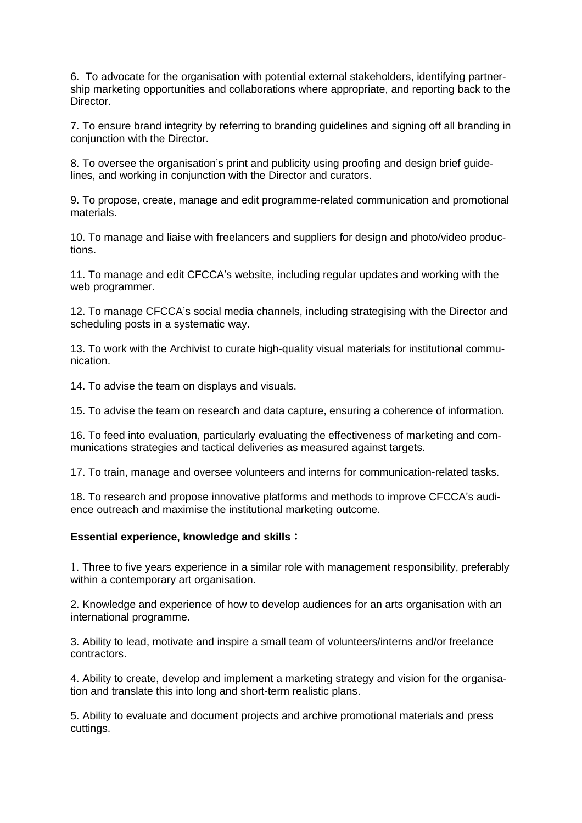6. To advocate for the organisation with potential external stakeholders, identifying partnership marketing opportunities and collaborations where appropriate, and reporting back to the Director.

7. To ensure brand integrity by referring to branding guidelines and signing off all branding in conjunction with the Director.

8. To oversee the organisation's print and publicity using proofing and design brief guidelines, and working in conjunction with the Director and curators.

9. To propose, create, manage and edit programme-related communication and promotional materials.

10. To manage and liaise with freelancers and suppliers for design and photo/video productions.

11. To manage and edit CFCCA's website, including regular updates and working with the web programmer.

12. To manage CFCCA's social media channels, including strategising with the Director and scheduling posts in a systematic way.

13. To work with the Archivist to curate high-quality visual materials for institutional communication.

14. To advise the team on displays and visuals.

15. To advise the team on research and data capture, ensuring a coherence of information.

16. To feed into evaluation, particularly evaluating the effectiveness of marketing and communications strategies and tactical deliveries as measured against targets.

17. To train, manage and oversee volunteers and interns for communication-related tasks.

18. To research and propose innovative platforms and methods to improve CFCCA's audience outreach and maximise the institutional marketing outcome.

#### **Essential experience, knowledge and skills**:

1. Three to five years experience in a similar role with management responsibility, preferably within a contemporary art organisation.

2. Knowledge and experience of how to develop audiences for an arts organisation with an international programme.

3. Ability to lead, motivate and inspire a small team of volunteers/interns and/or freelance contractors.

4. Ability to create, develop and implement a marketing strategy and vision for the organisation and translate this into long and short-term realistic plans.

5. Ability to evaluate and document projects and archive promotional materials and press cuttings.